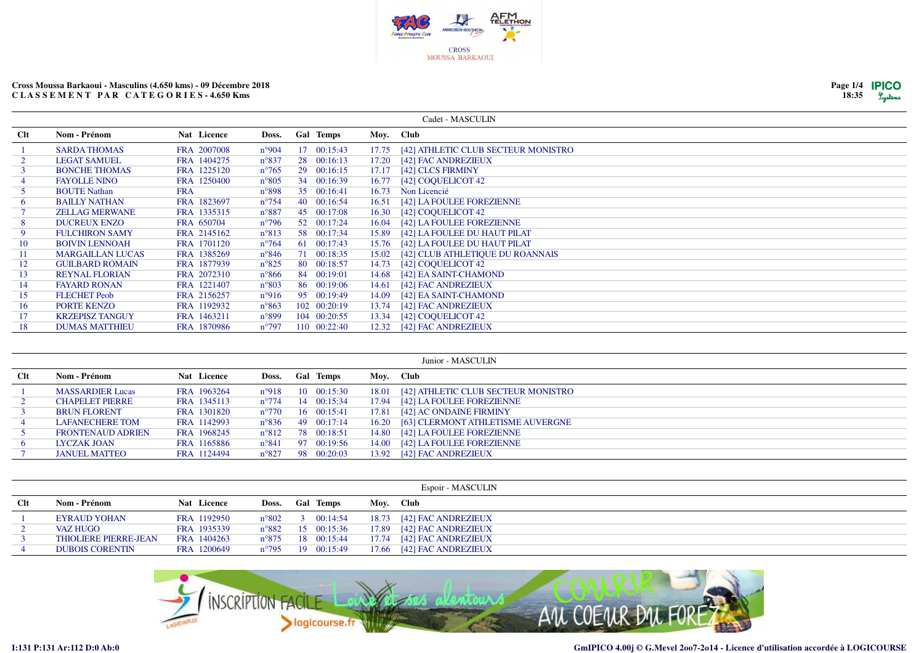

| Page 1/4 | <b>IPICO</b> |
|----------|--------------|
| 18:35    | Lystems      |

|              |                         |             |                |                  |       | Cadet - MASCULIN                    |
|--------------|-------------------------|-------------|----------------|------------------|-------|-------------------------------------|
| <b>Clt</b>   | Nom - Prénom            | Nat Licence | Doss.          | <b>Gal Temps</b> |       | Moy. Club                           |
|              | <b>SARDA THOMAS</b>     | FRA 2007008 | $n^{\circ}904$ | 17 00:15:43      | 17.75 | [42] ATHLETIC CLUB SECTEUR MONISTRO |
|              | <b>LEGAT SAMUEL</b>     | FRA 1404275 | $n^{\circ}837$ | 28 00:16:13      | 17.20 | [42] FAC ANDREZIEUX                 |
|              | <b>BONCHE THOMAS</b>    | FRA 1225120 | $n^{\circ}765$ | 29 00:16:15      | 17.17 | [42] CLCS FIRMINY                   |
|              | <b>FAYOLLE NINO</b>     | FRA 1250400 | $n^{\circ}805$ | 34 00:16:39      | 16.77 | [42] COOUELICOT 42                  |
|              | <b>BOUTE Nathan</b>     | <b>FRA</b>  | $n^{\circ}898$ | 35 00:16:41      | 16.73 | Non Licencié                        |
| <sub>0</sub> | <b>BAILLY NATHAN</b>    | FRA 1823697 | $n^{\circ}754$ | 40 00:16:54      | 16.51 | [42] LA FOULEE FOREZIENNE           |
|              | <b>ZELLAG MERWANE</b>   | FRA 1335315 | $n^{\circ}887$ | 45 00:17:08      | 16.30 | [42] COOUELICOT 42                  |
| 8            | <b>DUCREUX ENZO</b>     | FRA 650704  | $n^{\circ}796$ | 52 00:17:24      | 16.04 | [42] LA FOULEE FOREZIENNE           |
| 9.           | <b>FULCHIRON SAMY</b>   | FRA 2145162 | $n^{\circ}813$ | 58 00:17:34      | 15.89 | [42] LA FOULEE DU HAUT PILAT        |
| 10           | <b>BOIVIN LENNOAH</b>   | FRA 1701120 | $n^{\circ}764$ | 61 00:17:43      |       | 15.76 [42] LA FOULEE DU HAUT PILAT  |
| 11           | <b>MARGAILLAN LUCAS</b> | FRA 1385269 | $n^{\circ}846$ | 71 00:18:35      | 15.02 | [42] CLUB ATHLETIQUE DU ROANNAIS    |
| 12           | <b>GUILBARD ROMAIN</b>  | FRA 1877939 | $n^{\circ}825$ | 80 00:18:57      | 14.73 | [42] COQUELICOT 42                  |
| 13           | <b>REYNAL FLORIAN</b>   | FRA 2072310 | $n^{\circ}866$ | 84 00:19:01      | 14.68 | [42] EA SAINT-CHAMOND               |
| 14           | <b>FAYARD RONAN</b>     | FRA 1221407 | $n^{\circ}803$ | 86 00:19:06      | 14.61 | [42] FAC ANDREZIEUX                 |
| 15           | <b>FLECHET</b> Peob     | FRA 2156257 | $n^{\circ}916$ | 95 00:19:49      | 14.09 | [42] EA SAINT-CHAMOND               |
| 16           | <b>PORTE KENZO</b>      | FRA 1192932 | $n^{\circ}863$ | 102 00:20:19     | 13.74 | [42] FAC ANDREZIEUX                 |
| 17           | <b>KRZEPISZ TANGUY</b>  | FRA 1463211 | $n^{\circ}899$ | 104 00:20:55     |       | 13.34 [42] COQUELICOT 42            |
| 18           | <b>DUMAS MATTHIEU</b>   | FRA 1870986 | $n^{\circ}797$ | 110 00:22:40     |       | 12.32 [42] FAC ANDREZIEUX           |

|                | Junior - MASCULIN        |             |                |  |                     |       |                                     |  |  |  |  |  |
|----------------|--------------------------|-------------|----------------|--|---------------------|-------|-------------------------------------|--|--|--|--|--|
| <b>Clt</b>     | Nom - Prénom             | Nat Licence | Doss.          |  | <b>Gal Temps</b>    |       | Moy. Club                           |  |  |  |  |  |
|                | <b>MASSARDIER Lucas</b>  | FRA 1963264 | $n^{\circ}918$ |  | 10 00:15:30         | 18.01 | [42] ATHLETIC CLUB SECTEUR MONISTRO |  |  |  |  |  |
|                | <b>CHAPELET PIERRE</b>   | FRA 1345113 | $n^{\circ}774$ |  | 14 00:15:34         | 17.94 | [42] LA FOULEE FOREZIENNE           |  |  |  |  |  |
|                | <b>BRUN FLORENT</b>      | FRA 1301820 | $n^{\circ}770$ |  | $16 \quad 00:15:41$ | 17.81 | [42] AC ONDAINE FIRMINY             |  |  |  |  |  |
|                | <b>LAFANECHERE TOM</b>   | FRA 1142993 | $n^{\circ}836$ |  | 49 00:17:14         | 16.20 | [63] CLERMONT ATHLETISME AUVERGNE   |  |  |  |  |  |
|                | <b>FRONTENAUD ADRIEN</b> | FRA 1968245 | $n^{\circ}812$ |  | 78 00:18:51         | 14.80 | [42] LA FOULEE FOREZIENNE           |  |  |  |  |  |
| 6 <sup>1</sup> | LYCZAK JOAN              | FRA 1165886 | $n^{\circ}841$ |  | 97 00:19:56         | 14.00 | [42] LA FOULEE FOREZIENNE           |  |  |  |  |  |
|                | <b>JANUEL MATTEO</b>     | FRA 1124494 | $n^{\circ}827$ |  | 98 00:20:03         | 13.92 | [42] FAC ANDREZIEUX                 |  |  |  |  |  |

|     |                              |             |                |                            |       | Espoir - MASCULIN   |
|-----|------------------------------|-------------|----------------|----------------------------|-------|---------------------|
| Clt | Nom - Prénom                 | Nat Licence | Doss.          | <b>Gal Temps</b>           |       | Moy. Club           |
|     | <b>EYRAUD YOHAN</b>          | FRA 1192950 |                | $n^{\circ}802$ 3 00:14:54  | 18.73 | [42] FAC ANDREZIEUX |
|     | <b>VAZ HUGO</b>              | FRA 1935339 |                | $n^{\circ}882$ 15 00:15:36 | 17.89 | [42] FAC ANDREZIEUX |
|     | <b>THIOLIERE PIERRE-JEAN</b> | FRA 1404263 |                | $n^{\circ}875$ 18 00:15:44 | 17.74 | [42] FAC ANDREZIEUX |
|     | <b>DUBOIS CORENTIN</b>       | FRA 1200649 | $n^{\circ}795$ | 19 00:15:49                | 17.66 | [42] FAC ANDREZIEUX |

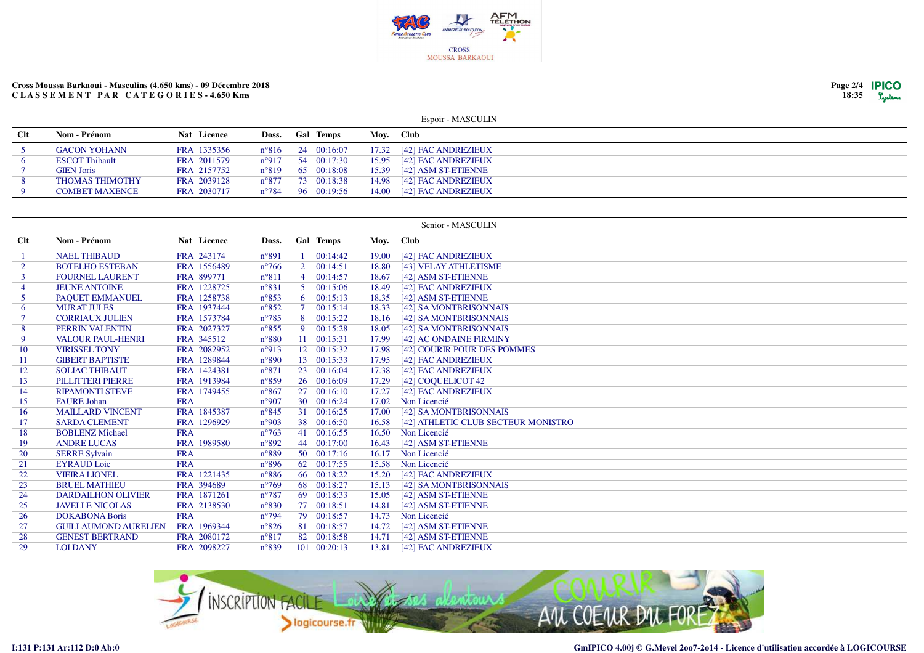

| Page 2/4 <b>IPICO</b> |         |
|-----------------------|---------|
| 18:35                 | Lystens |

|     |                        |             |  |                            |       | Espoir - MASCULIN           |
|-----|------------------------|-------------|--|----------------------------|-------|-----------------------------|
| Clt | Nom - Prénom           | Nat Licence |  | Doss. Gal Temps            |       | Moy. Club                   |
|     | <b>GACON YOHANN</b>    | FRA 1335356 |  | $n^{\circ}816$ 24 00:16:07 |       | 17.32 [42] FAC ANDREZIEUX   |
|     | <b>ESCOT Thibault</b>  | FRA 2011579 |  | $n^{\circ}917$ 54 00:17:30 |       | 15.95 [42] FAC ANDREZIEUX   |
|     | <b>GIEN Joris</b>      | FRA 2157752 |  | $n^{\circ}819$ 65 00:18:08 |       | $15.39$ [42] ASM ST-ETIENNE |
|     | <b>THOMAS THIMOTHY</b> | FRA 2039128 |  | $n^{\circ}877$ 73 00:18:38 | 14.98 | [42] FAC ANDREZIEUX         |
|     | <b>COMBET MAXENCE</b>  | FRA 2030717 |  | $n^{\circ}784$ 96 00:19:56 | 14.00 | [42] FAC ANDREZIEUX         |

|           |                             |             |                |                |                    |           | Senior - MASCULIN                   |
|-----------|-----------------------------|-------------|----------------|----------------|--------------------|-----------|-------------------------------------|
| Clt       | Nom - Prénom                | Nat Licence | Doss.          |                | <b>Gal Temps</b>   | Moy. Club |                                     |
|           | <b>NAEL THIBAUD</b>         | FRA 243174  | $n^{\circ}891$ |                | 00:14:42           | 19.00     | [42] FAC ANDREZIEUX                 |
| 2         | <b>BOTELHO ESTEBAN</b>      | FRA 1556489 | $n^{\circ}766$ |                | $2 \quad 00:14:51$ | 18.80     | [43] VELAY ATHLETISME               |
|           | <b>FOURNEL LAURENT</b>      | FRA 899771  | $n^{\circ}811$ | $\overline{4}$ | 00:14:57           | 18.67     | [42] ASM ST-ETIENNE                 |
| 4         | <b>JEUNE ANTOINE</b>        | FRA 1228725 | $n^{\circ}831$ |                | 500:15:06          | 18.49     | [42] FAC ANDREZIEUX                 |
| 5         | PAOUET EMMANUEL             | FRA 1258738 | $n^{\circ}853$ |                | 600:15:13          | 18.35     | [42] ASM ST-ETIENNE                 |
| 6         | <b>MURAT JULES</b>          | FRA 1937444 | $n^{\circ}852$ | 7 <sup>7</sup> | 00:15:14           | 18.33     | [42] SA MONTBRISONNAIS              |
|           | <b>CORRIAUX JULIEN</b>      | FRA 1573784 | $n^{\circ}785$ |                | 8 00:15:22         | 18.16     | [42] SA MONTBRISONNAIS              |
| 8         | PERRIN VALENTIN             | FRA 2027327 | $n^{\circ}855$ |                | 9 00:15:28         | 18.05     | [42] SA MONTBRISONNAIS              |
| 9         | <b>VALOUR PAUL-HENRI</b>    | FRA 345512  | $n^{\circ}880$ |                | 11 00:15:31        | 17.99     | [42] AC ONDAINE FIRMINY             |
| 10        | <b>VIRISSEL TONY</b>        | FRA 2082952 | $n^{\circ}913$ |                | 12 00:15:32        | 17.98     | [42] COURIR POUR DES POMMES         |
| 11        | <b>GIBERT BAPTISTE</b>      | FRA 1289844 | $n^{\circ}890$ |                | 13 00:15:33        | 17.95     | [42] FAC ANDREZIEUX                 |
| 12        | <b>SOLIAC THIBAUT</b>       | FRA 1424381 | $n^{\circ}871$ |                | 23 00:16:04        | 17.38     | [42] FAC ANDREZIEUX                 |
| 13        | <b>PILLITTERI PIERRE</b>    | FRA 1913984 | $n^{\circ}859$ |                | 26 00:16:09        | 17.29     | [42] COOUELICOT 42                  |
| 14        | <b>RIPAMONTI STEVE</b>      | FRA 1749455 | $n^{\circ}867$ |                | 27 00:16:10        | 17.27     | [42] FAC ANDREZIEUX                 |
| 15        | <b>FAURE</b> Johan          | <b>FRA</b>  | n°907          |                | 30 00:16:24        | 17.02     | Non Licencié                        |
| 16        | <b>MAILLARD VINCENT</b>     | FRA 1845387 | $n^{\circ}845$ |                | 31 00:16:25        | 17.00     | [42] SA MONTBRISONNAIS              |
| 17        | <b>SARDA CLEMENT</b>        | FRA 1296929 | n°903          |                | 38 00:16:50        | 16.58     | [42] ATHLETIC CLUB SECTEUR MONISTRO |
| 18        | <b>BOBLENZ Michael</b>      | <b>FRA</b>  | $n^{\circ}763$ |                | 41 00:16:55        | 16.50     | Non Licencié                        |
| 19        | <b>ANDRE LUCAS</b>          | FRA 1989580 | $n^{\circ}892$ |                | 44 00:17:00        | 16.43     | [42] ASM ST-ETIENNE                 |
| <b>20</b> | <b>SERRE Sylvain</b>        | <b>FRA</b>  | $n^{\circ}889$ |                | 50 00:17:16        | 16.17     | Non Licencié                        |
| 21        | <b>EYRAUD</b> Loic          | <b>FRA</b>  | $n^{\circ}896$ |                | 62 00:17:55        | 15.58     | Non Licencié                        |
| 22        | <b>VIEIRA LIONEL</b>        | FRA 1221435 | $n^{\circ}886$ |                | 66 00:18:22        | 15.20     | [42] FAC ANDREZIEUX                 |
| 23        | <b>BRUEL MATHIEU</b>        | FRA 394689  | $n^{\circ}769$ |                | 68 00:18:27        | 15.13     | [42] SA MONTBRISONNAIS              |
| 24        | <b>DARDAILHON OLIVIER</b>   | FRA 1871261 | $n^{\circ}787$ |                | 69 00:18:33        | 15.05     | [42] ASM ST-ETIENNE                 |
| 25        | <b>JAVELLE NICOLAS</b>      | FRA 2138530 | $n^{\circ}830$ |                | 77 00:18:51        | 14.81     | [42] ASM ST-ETIENNE                 |
| 26        | <b>DOKABONA Boris</b>       | <b>FRA</b>  | $n^{\circ}794$ |                | 79 00:18:57        | 14.73     | Non Licencié                        |
| 27        | <b>GUILLAUMOND AURELIEN</b> | FRA 1969344 | $n^{\circ}826$ |                | 81 00:18:57        | 14.72     | [42] ASM ST-ETIENNE                 |
| 28        | <b>GENEST BERTRAND</b>      | FRA 2080172 | $n^{\circ}817$ |                | 82 00:18:58        | 14.71     | [42] ASM ST-ETIENNE                 |
| 29        | <b>LOI DANY</b>             | FRA 2098227 | $n^{\circ}839$ |                | 101 00:20:13       | 13.81     | [42] FAC ANDREZIEUX                 |

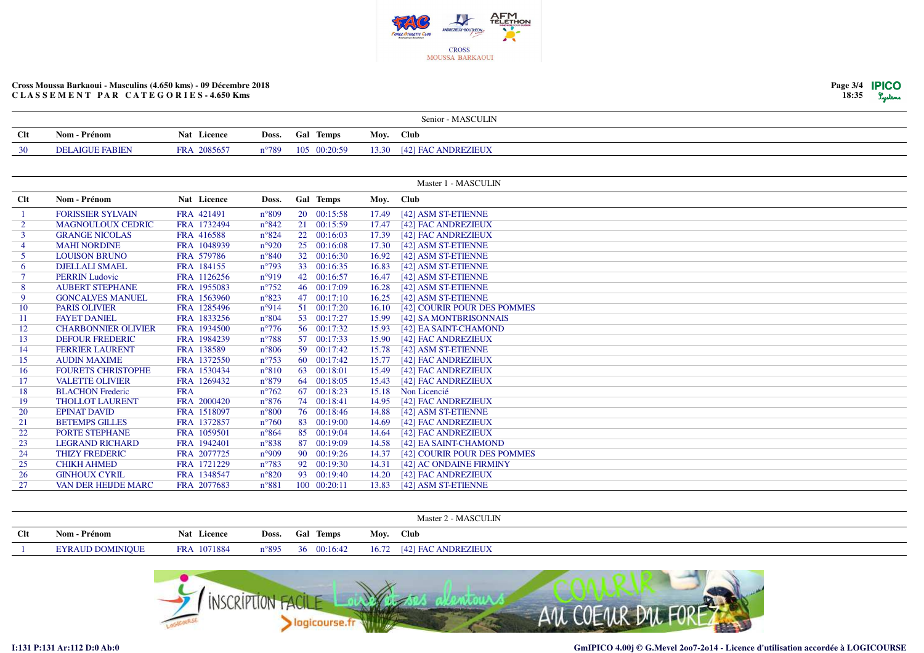

|                |                            |             |                |              |           | Senior - MASCULIN           |
|----------------|----------------------------|-------------|----------------|--------------|-----------|-----------------------------|
| Clt            | Nom - Prénom               | Nat Licence | Doss.          | Gal Temps    | Moy. Club |                             |
| 30             | <b>DELAIGUE FABIEN</b>     | FRA 2085657 | $n^{\circ}789$ | 105 00:20:59 | 13.30     | [42] FAC ANDREZIEUX         |
|                |                            |             |                |              |           |                             |
|                |                            |             |                |              |           |                             |
|                |                            |             |                |              |           | Master 1 - MASCULIN         |
| Clt            | Nom - Prénom               | Nat Licence | Doss.          | Gal Temps    | Moy. Club |                             |
|                | <b>FORISSIER SYLVAIN</b>   | FRA 421491  | $n^{\circ}809$ | 20 00:15:58  | 17.49     | [42] ASM ST-ETIENNE         |
| $\overline{2}$ | <b>MAGNOULOUX CEDRIC</b>   | FRA 1732494 | $n^{\circ}842$ | 21 00:15:59  | 17.47     | [42] FAC ANDREZIEUX         |
| $\overline{3}$ | <b>GRANGE NICOLAS</b>      | FRA 416588  | $n^{\circ}824$ | 22 00:16:03  | 17.39     | [42] FAC ANDREZIEUX         |
| $\overline{4}$ | <b>MAHI NORDINE</b>        | FRA 1048939 | n°920          | 25 00:16:08  | 17.30     | [42] ASM ST-ETIENNE         |
| 5              | <b>LOUISON BRUNO</b>       | FRA 579786  | $n^{\circ}840$ | 32 00:16:30  | 16.92     | [42] ASM ST-ETIENNE         |
| 6              | <b>DJELLALI SMAEL</b>      | FRA 184155  | $n^{\circ}793$ | 33 00:16:35  | 16.83     | [42] ASM ST-ETIENNE         |
| $\overline{7}$ | <b>PERRIN Ludovic</b>      | FRA 1126256 | n°919          | 42 00:16:57  | 16.47     | [42] ASM ST-ETIENNE         |
| 8              | <b>AUBERT STEPHANE</b>     | FRA 1955083 | $n^{\circ}752$ | 46 00:17:09  | 16.28     | [42] ASM ST-ETIENNE         |
| 9              | <b>GONCALVES MANUEL</b>    | FRA 1563960 | $n^{\circ}823$ | 47 00:17:10  | 16.25     | [42] ASM ST-ETIENNE         |
| 10             | <b>PARIS OLIVIER</b>       | FRA 1285496 | n°914          | 51 00:17:20  | 16.10     | [42] COURIR POUR DES POMMES |
| 11             | <b>FAYET DANIEL</b>        | FRA 1833256 | $n^{\circ}804$ | 53 00:17:27  | 15.99     | [42] SA MONTBRISONNAIS      |
| 12             | <b>CHARBONNIER OLIVIER</b> | FRA 1934500 | $n^{\circ}776$ | 56 00:17:32  | 15.93     | [42] EA SAINT-CHAMOND       |
| 13             | <b>DEFOUR FREDERIC</b>     | FRA 1984239 | $n^{\circ}788$ | 57 00:17:33  | 15.90     | [42] FAC ANDREZIEUX         |
| 14             | <b>FERRIER LAURENT</b>     | FRA 138589  | $n^{\circ}806$ | 59 00:17:42  | 15.78     | [42] ASM ST-ETIENNE         |
| 15             | <b>AUDIN MAXIME</b>        | FRA 1372550 | $n^{\circ}753$ | 60 00:17:42  | 15.77     | [42] FAC ANDREZIEUX         |
| 16             | <b>FOURETS CHRISTOPHE</b>  | FRA 1530434 | $n^{\circ}810$ | 63 00:18:01  | 15.49     | [42] FAC ANDREZIEUX         |
| 17             | <b>VALETTE OLIVIER</b>     | FRA 1269432 | $n^{\circ}879$ | 64 00:18:05  | 15.43     | [42] FAC ANDREZIEUX         |
| 18             | <b>BLACHON</b> Frederic    | <b>FRA</b>  | $n^{\circ}762$ | 67 00:18:23  | 15.18     | Non Licencié                |
| 19             | <b>THOLLOT LAURENT</b>     | FRA 2000420 | $n^{\circ}876$ | 74 00:18:41  | 14.95     | [42] FAC ANDREZIEUX         |
| 20             | <b>EPINAT DAVID</b>        | FRA 1518097 | $n^{\circ}800$ | 76 00:18:46  | 14.88     | [42] ASM ST-ETIENNE         |
| 21             | <b>BETEMPS GILLES</b>      | FRA 1372857 | $n^{\circ}760$ | 83 00:19:00  | 14.69     | [42] FAC ANDREZIEUX         |
| 22             | <b>PORTE STEPHANE</b>      | FRA 1059501 | $n^{\circ}864$ | 85 00:19:04  | 14.64     | [42] FAC ANDREZIEUX         |
| 23             | <b>LEGRAND RICHARD</b>     | FRA 1942401 | $n^{\circ}838$ | 87 00:19:09  | 14.58     | [42] EA SAINT-CHAMOND       |
| 24             | <b>THIZY FREDERIC</b>      | FRA 2077725 | $n^{\circ}909$ | 90 00:19:26  | 14.37     | [42] COURIR POUR DES POMMES |
| 25             | <b>CHIKH AHMED</b>         | FRA 1721229 | $n^{\circ}783$ | 92 00:19:30  | 14.31     | [42] AC ONDAINE FIRMINY     |
| 26             | <b>GINHOUX CYRIL</b>       | FRA 1348547 | $n^{\circ}820$ | 93 00:19:40  | 14.20     | [42] FAC ANDREZIEUX         |
| 27             | <b>VAN DER HEIJDE MARC</b> | FRA 2077683 | $n^{\circ}881$ | 100 00:20:11 | 13.83     | [42] ASM ST-ETIENNE         |

|     |                                  |             |       |              |       | - MASCULIN<br>Master <sup>~</sup><br>-      |
|-----|----------------------------------|-------------|-------|--------------|-------|---------------------------------------------|
| Clt | - Prénom<br>Nom-                 | Nat Licence | Doss. | Temps<br>Gal | Moy.  | <b>Club</b>                                 |
|     | <b>DOMINIOUE</b><br><b>EYRAL</b> | FRA 1071884 | n°895 | 00:16:42     | 16.72 | <b>[42] FAC ANDREZIEUX</b><br>FAC.<br>'44 L |